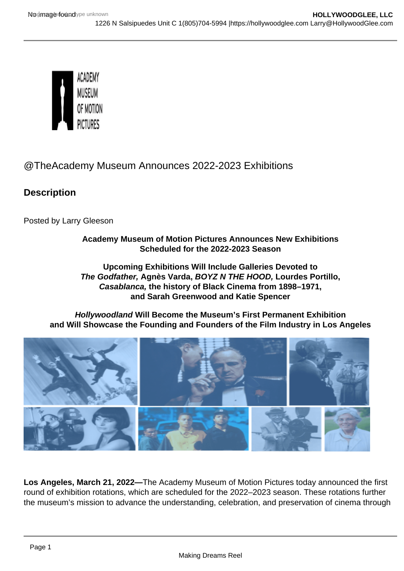# @TheAcademy Museum Announces 2022-2023 Exhibitions

**Description** 

Posted by Larry Gleeson

## Academy Museum of Motion Pictures Announces New Exhibitions Scheduled for the 2022-2023 Season

Upcoming Exhibitions Will Include Galleries Devoted to The Godfather, Agnès Varda, BOYZ N THE HOOD, Lourdes Portillo, Casablanca, the history of Black Cinema from 1898–1971, and Sarah Greenwood and Katie Spencer

Hollywoodland Will Become the Museum's First Permanent Exhibition and Will Showcase the Founding and Founders of the Film Industry in Los Angeles

Los Angeles, March 21, 2022— The Academy Museum of Motion Pictures today announced the first round of exhibition rotations, which are scheduled for the 2022–2023 season. These rotations further the museum's mission to advance the understanding, celebration, and preservation of cinema through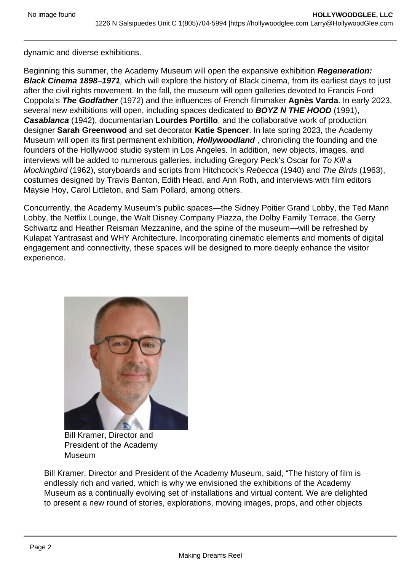dynamic and diverse exhibitions.

Beginning this summer, the Academy Museum will open the expansive exhibition Regeneration: Black Cinema 1898–1971 , which will explore the history of Black cinema, from its earliest days to just after the civil rights movement. In the fall, the museum will open galleries devoted to Francis Ford Coppola's The Godfather (1972) and the influences of French filmmaker Agnès Varda . In early 2023, several new exhibitions will open, including spaces dedicated to BOYZ N THE HOOD (1991), Casablanca (1942), documentarian Lourdes Portillo , and the collaborative work of production designer Sarah Greenwood and set decorator Katie Spencer . In late spring 2023, the Academy Museum will open its first permanent exhibition, Hollywoodland , chronicling the founding and the founders of the Hollywood studio system in Los Angeles. In addition, new objects, images, and interviews will be added to numerous galleries, including Gregory Peck's Oscar for To Kill a Mockingbird (1962), storyboards and scripts from Hitchcock's Rebecca (1940) and The Birds (1963), costumes designed by Travis Banton, Edith Head, and Ann Roth, and interviews with film editors Maysie Hoy, Carol Littleton, and Sam Pollard, among others.

Concurrently, the Academy Museum's public spaces—the Sidney Poitier Grand Lobby, the Ted Mann Lobby, the Netflix Lounge, the Walt Disney Company Piazza, the Dolby Family Terrace, the Gerry Schwartz and Heather Reisman Mezzanine, and the spine of the museum—will be refreshed by Kulapat Yantrasast and WHY Architecture. Incorporating cinematic elements and moments of digital engagement and connectivity, these spaces will be designed to more deeply enhance the visitor experience.

> Bill Kramer, Director and President of the Academy **Museum**

Bill Kramer, Director and President of the Academy Museum, said, "The history of film is endlessly rich and varied, which is why we envisioned the exhibitions of the Academy Museum as a continually evolving set of installations and virtual content. We are delighted to present a new round of stories, explorations, moving images, props, and other objects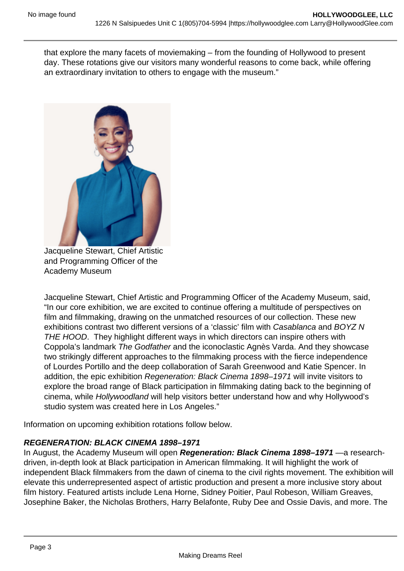that explore the many facets of moviemaking – from the founding of Hollywood to present day. These rotations give our visitors many wonderful reasons to come back, while offering an extraordinary invitation to others to engage with the museum."

Jacqueline Stewart, Chief Artistic and Programming Officer of the Academy Museum

Jacqueline Stewart, Chief Artistic and Programming Officer of the Academy Museum, said, "In our core exhibition, we are excited to continue offering a multitude of perspectives on film and filmmaking, drawing on the unmatched resources of our collection. These new exhibitions contrast two different versions of a 'classic' film with Casablanca and BOYZ N THE HOOD. They highlight different ways in which directors can inspire others with Coppola's landmark The Godfather and the iconoclastic Agnès Varda. And they showcase two strikingly different approaches to the filmmaking process with the fierce independence of Lourdes Portillo and the deep collaboration of Sarah Greenwood and Katie Spencer. In addition, the epic exhibition Regeneration: Black Cinema 1898–1971 will invite visitors to explore the broad range of Black participation in filmmaking dating back to the beginning of cinema, while Hollywoodland will help visitors better understand how and why Hollywood's studio system was created here in Los Angeles."

Information on upcoming exhibition rotations follow below.

### REGENERATION: BLACK CINEMA 1898–1971

In August, the Academy Museum will open Regeneration: Black Cinema 1898–1971 — a researchdriven, in-depth look at Black participation in American filmmaking. It will highlight the work of independent Black filmmakers from the dawn of cinema to the civil rights movement. The exhibition will elevate this underrepresented aspect of artistic production and present a more inclusive story about film history. Featured artists include Lena Horne, Sidney Poitier, Paul Robeson, William Greaves, Josephine Baker, the Nicholas Brothers, Harry Belafonte, Ruby Dee and Ossie Davis, and more. The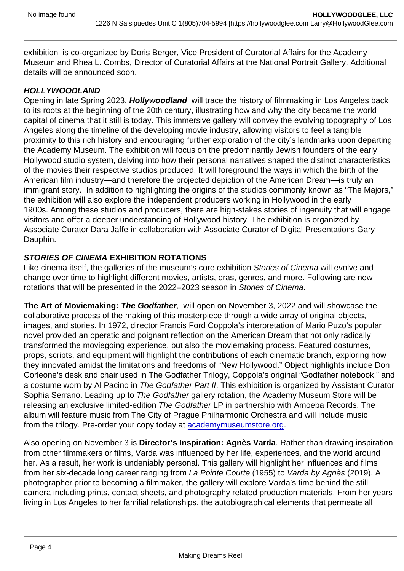exhibition is co-organized by Doris Berger, Vice President of Curatorial Affairs for the Academy Museum and Rhea L. Combs, Director of Curatorial Affairs at the National Portrait Gallery. Additional details will be announced soon.

#### HOLLYWOODLAND

Opening in late Spring 2023, Hollywoodland will trace the history of filmmaking in Los Angeles back to its roots at the beginning of the 20th century, illustrating how and why the city became the world capital of cinema that it still is today. This immersive gallery will convey the evolving topography of Los Angeles along the timeline of the developing movie industry, allowing visitors to feel a tangible proximity to this rich history and encouraging further exploration of the city's landmarks upon departing the Academy Museum. The exhibition will focus on the predominantly Jewish founders of the early Hollywood studio system, delving into how their personal narratives shaped the distinct characteristics of the movies their respective studios produced. It will foreground the ways in which the birth of the American film industry—and therefore the projected depiction of the American Dream—is truly an immigrant story. In addition to highlighting the origins of the studios commonly known as "The Majors," the exhibition will also explore the independent producers working in Hollywood in the early 1900s. Among these studios and producers, there are high-stakes stories of ingenuity that will engage visitors and offer a deeper understanding of Hollywood history. The exhibition is organized by Associate Curator Dara Jaffe in collaboration with Associate Curator of Digital Presentations Gary Dauphin.

### STORIES OF CINEMA EXHIBITION ROTATIONS

Like cinema itself, the galleries of the museum's core exhibition Stories of Cinema will evolve and change over time to highlight different movies, artists, eras, genres, and more. Following are new rotations that will be presented in the 2022–2023 season in Stories of Cinema.

The Art of Moviemaking: The Godfather , will open on November 3, 2022 and will showcase the collaborative process of the making of this masterpiece through a wide array of original objects, images, and stories. In 1972, director Francis Ford Coppola's interpretation of Mario Puzo's popular novel provided an operatic and poignant reflection on the American Dream that not only radically transformed the moviegoing experience, but also the moviemaking process. Featured costumes, props, scripts, and equipment will highlight the contributions of each cinematic branch, exploring how they innovated amidst the limitations and freedoms of "New Hollywood." Object highlights include Don Corleone's desk and chair used in The Godfather Trilogy, Coppola's original "Godfather notebook," and a costume worn by Al Pacino in The Godfather Part II. This exhibition is organized by Assistant Curator Sophia Serrano. Leading up to The Godfather gallery rotation, the Academy Museum Store will be releasing an exclusive limited-edition The Godfather LP in partnership with Amoeba Records. The album will feature music from The City of Prague Philharmonic Orchestra and will include music from the trilogy. Pre-order your copy today at [academymuseumstore.org](http://academymuseumstore.org).

Also opening on November 3 is Director's Inspiration: Agnès Varda . Rather than drawing inspiration from other filmmakers or films, Varda was influenced by her life, experiences, and the world around her. As a result, her work is undeniably personal. This gallery will highlight her influences and films from her six-decade long career ranging from La Pointe Courte (1955) to Varda by Agnès (2019). A photographer prior to becoming a filmmaker, the gallery will explore Varda's time behind the still camera including prints, contact sheets, and photography related production materials. From her years living in Los Angeles to her familial relationships, the autobiographical elements that permeate all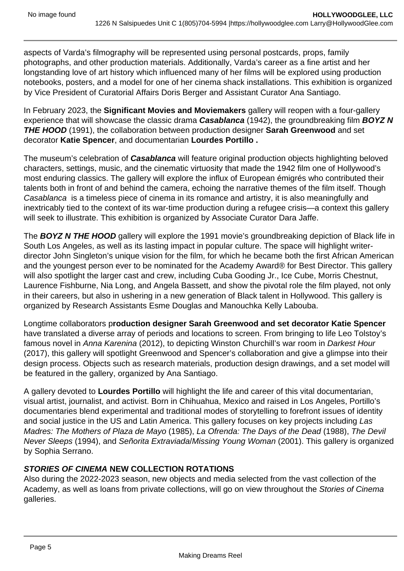aspects of Varda's filmography will be represented using personal postcards, props, family photographs, and other production materials. Additionally, Varda's career as a fine artist and her longstanding love of art history which influenced many of her films will be explored using production notebooks, posters, and a model for one of her cinema shack installations. This exhibition is organized by Vice President of Curatorial Affairs Doris Berger and Assistant Curator Ana Santiago.

In February 2023, the **Significant Movies and Moviemakers** gallery will reopen with a four-gallery experience that will showcase the classic drama **Casablanca** (1942), the groundbreaking film **BOYZ N THE HOOD** (1991), the collaboration between production designer **Sarah Greenwood** and set decorator **Katie Spencer**, and documentarian **Lourdes Portillo .**

The museum's celebration of **Casablanca** will feature original production objects highlighting beloved characters, settings, music, and the cinematic virtuosity that made the 1942 film one of Hollywood's most enduring classics. The gallery will explore the influx of European émigrés who contributed their talents both in front of and behind the camera, echoing the narrative themes of the film itself. Though Casablanca is a timeless piece of cinema in its romance and artistry, it is also meaningfully and inextricably tied to the context of its war-time production during a refugee crisis—a context this gallery will seek to illustrate. This exhibition is organized by Associate Curator Dara Jaffe.

The **BOYZ N THE HOOD** gallery will explore the 1991 movie's groundbreaking depiction of Black life in South Los Angeles, as well as its lasting impact in popular culture. The space will highlight writerdirector John Singleton's unique vision for the film, for which he became both the first African American and the youngest person ever to be nominated for the Academy Award® for Best Director. This gallery will also spotlight the larger cast and crew, including Cuba Gooding Jr., Ice Cube, Morris Chestnut, Laurence Fishburne, Nia Long, and Angela Bassett, and show the pivotal role the film played, not only in their careers, but also in ushering in a new generation of Black talent in Hollywood. This gallery is organized by Research Assistants Esme Douglas and Manouchka Kelly Labouba.

Longtime collaborators p**roduction designer Sarah Greenwood and set decorator Katie Spencer**  have translated a diverse array of periods and locations to screen. From bringing to life Leo Tolstoy's famous novel in Anna Karenina (2012), to depicting Winston Churchill's war room in Darkest Hour (2017), this gallery will spotlight Greenwood and Spencer's collaboration and give a glimpse into their design process. Objects such as research materials, production design drawings, and a set model will be featured in the gallery, organized by Ana Santiago.

A gallery devoted to **Lourdes Portillo** will highlight the life and career of this vital documentarian, visual artist, journalist, and activist. Born in Chihuahua, Mexico and raised in Los Angeles, Portillo's documentaries blend experimental and traditional modes of storytelling to forefront issues of identity and social justice in the US and Latin America. This gallery focuses on key projects including Las Madres: The Mothers of Plaza de Mayo (1985), La Ofrenda: The Days of the Dead (1988), The Devil Never Sleeps (1994), and Señorita Extraviada/Missing Young Woman (2001). This gallery is organized by Sophia Serrano.

# **STORIES OF CINEMA NEW COLLECTION ROTATIONS**

Also during the 2022-2023 season, new objects and media selected from the vast collection of the Academy, as well as loans from private collections, will go on view throughout the Stories of Cinema galleries.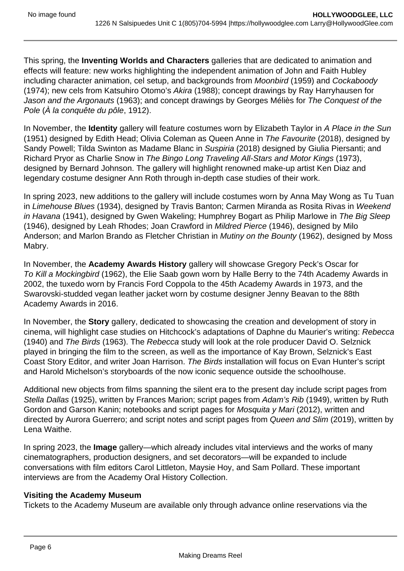This spring, the **Inventing Worlds and Characters** galleries that are dedicated to animation and effects will feature: new works highlighting the independent animation of John and Faith Hubley including character animation, cel setup, and backgrounds from Moonbird (1959) and Cockaboody (1974); new cels from Katsuhiro Otomo's Akira (1988); concept drawings by Ray Harryhausen for Jason and the Argonauts (1963); and concept drawings by Georges Méliès for The Conquest of the Pole (À la conquête du pôle, 1912).

In November, the **Identity** gallery will feature costumes worn by Elizabeth Taylor in A Place in the Sun (1951) designed by Edith Head; Olivia Coleman as Queen Anne in The Favourite (2018), designed by Sandy Powell; Tilda Swinton as Madame Blanc in Suspiria (2018) designed by Giulia Piersanti; and Richard Pryor as Charlie Snow in The Bingo Long Traveling All-Stars and Motor Kings (1973), designed by Bernard Johnson. The gallery will highlight renowned make-up artist Ken Diaz and legendary costume designer Ann Roth through in-depth case studies of their work.

In spring 2023, new additions to the gallery will include costumes worn by Anna May Wong as Tu Tuan in Limehouse Blues (1934), designed by Travis Banton; Carmen Miranda as Rosita Rivas in Weekend in Havana (1941), designed by Gwen Wakeling; Humphrey Bogart as Philip Marlowe in The Big Sleep (1946), designed by Leah Rhodes; Joan Crawford in Mildred Pierce (1946), designed by Milo Anderson; and Marlon Brando as Fletcher Christian in Mutiny on the Bounty (1962), designed by Moss Mabry.

In November, the **Academy Awards History** gallery will showcase Gregory Peck's Oscar for To Kill a Mockingbird (1962), the Elie Saab gown worn by Halle Berry to the 74th Academy Awards in 2002, the tuxedo worn by Francis Ford Coppola to the 45th Academy Awards in 1973, and the Swarovski-studded vegan leather jacket worn by costume designer Jenny Beavan to the 88th Academy Awards in 2016.

In November, the **Story** gallery, dedicated to showcasing the creation and development of story in cinema, will highlight case studies on Hitchcock's adaptations of Daphne du Maurier's writing: Rebecca (1940) and The Birds (1963). The Rebecca study will look at the role producer David O. Selznick played in bringing the film to the screen, as well as the importance of Kay Brown, Selznick's East Coast Story Editor, and writer Joan Harrison. The Birds installation will focus on Evan Hunter's script and Harold Michelson's storyboards of the now iconic sequence outside the schoolhouse.

Additional new objects from films spanning the silent era to the present day include script pages from Stella Dallas (1925), written by Frances Marion; script pages from Adam's Rib (1949), written by Ruth Gordon and Garson Kanin; notebooks and script pages for Mosquita y Mari (2012), written and directed by Aurora Guerrero; and script notes and script pages from Queen and Slim (2019), written by Lena Waithe.

In spring 2023, the **Image** gallery—which already includes vital interviews and the works of many cinematographers, production designers, and set decorators—will be expanded to include conversations with film editors Carol Littleton, Maysie Hoy, and Sam Pollard. These important interviews are from the Academy Oral History Collection.

### **Visiting the Academy Museum**

Tickets to the Academy Museum are available only through advance online reservations via the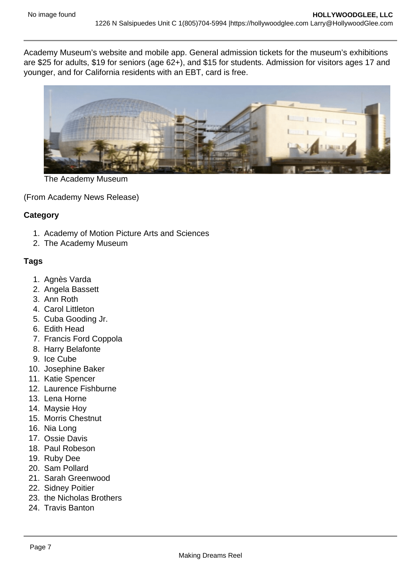Academy Museum's website and mobile app. General admission tickets for the museum's exhibitions are \$25 for adults, \$19 for seniors (age 62+), and \$15 for students. Admission for visitors ages 17 and younger, and for California residents with an EBT, card is free.

The Academy Museum

(From Academy News Release)

**Category** 

- 1. Academy of Motion Picture Arts and Sciences
- 2. The Academy Museum

### Tags

- 1. Agnès Varda
- 2. Angela Bassett
- 3. Ann Roth
- 4. Carol Littleton
- 5. Cuba Gooding Jr.
- 6. Edith Head
- 7. Francis Ford Coppola
- 8. Harry Belafonte
- 9. Ice Cube
- 10. Josephine Baker
- 11. Katie Spencer
- 12. Laurence Fishburne
- 13. Lena Horne
- 14. Maysie Hoy
- 15. Morris Chestnut
- 16. Nia Long
- 17. Ossie Davis
- 18. Paul Robeson
- 19. Ruby Dee
- 20. Sam Pollard
- 21. Sarah Greenwood
- 22. Sidney Poitier
- 23. the Nicholas Brothers
- 24. Travis Banton